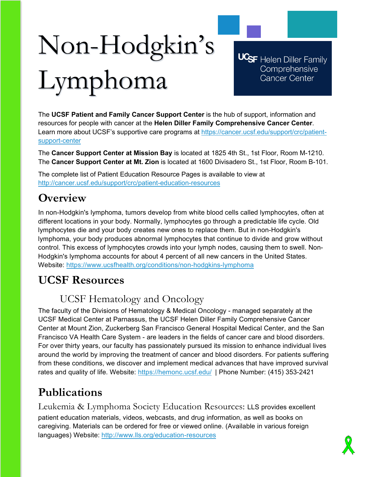# Non-Hodgkin's Lymphoma

**UCSF** Helen Diller Family Comprehensive **Cancer Center** 

The **UCSF Patient and Family Cancer Support Center** is the hub of support, information and resources for people with cancer at the **Helen Diller Family Comprehensive Cancer Center**. Learn more about UCSF's supportive care programs at [https://cancer.ucsf.edu/support/crc/patient](https://cancer.ucsf.edu/support/crc/patient-support-center)[support-center](https://cancer.ucsf.edu/support/crc/patient-support-center)

The **Cancer Support Center at Mission Bay** is located at 1825 4th St., 1st Floor, Room M-1210. The **Cancer Support Center at Mt. Zion** is located at 1600 Divisadero St., 1st Floor, Room B-101.

The complete list of Patient Education Resource Pages is available to view at <http://cancer.ucsf.edu/support/crc/patient-education-resources>

# **Overview**

In non-Hodgkin's lymphoma, tumors develop from white blood cells called lymphocytes, often at different locations in your body. Normally, lymphocytes go through a predictable life cycle. Old lymphocytes die and your body creates new ones to replace them. But in non-Hodgkin's lymphoma, your body produces abnormal lymphocytes that continue to divide and grow without control. This excess of lymphocytes crowds into your lymph nodes, causing them to swell. Non-Hodgkin's lymphoma accounts for about 4 percent of all new cancers in the United States. Website:<https://www.ucsfhealth.org/conditions/non-hodgkins-lymphoma>

# **UCSF Resources**

## UCSF Hematology and Oncology

The faculty of the Divisions of Hematology & Medical Oncology - managed separately at the UCSF Medical Center at Parnassus, the UCSF Helen Diller Family Comprehensive Cancer Center at Mount Zion, Zuckerberg San Francisco General Hospital Medical Center, and the San Francisco VA Health Care System - are leaders in the fields of cancer care and blood disorders. For over thirty years, our faculty has passionately pursued its mission to enhance individual lives around the world by improving the treatment of cancer and blood disorders. For patients suffering from these conditions, we discover and implement medical advances that have improved survival rates and quality of life. Website:<https://hemonc.ucsf.edu/>| Phone Number: (415) 353-2421

# **Publications**

Leukemia & Lymphoma Society Education Resources: LLS provides excellent patient education materials, videos, webcasts, and drug information, as well as books on caregiving. Materials can be ordered for free or viewed online. (Available in various foreign languages) Website: <http://www.lls.org/education-resources>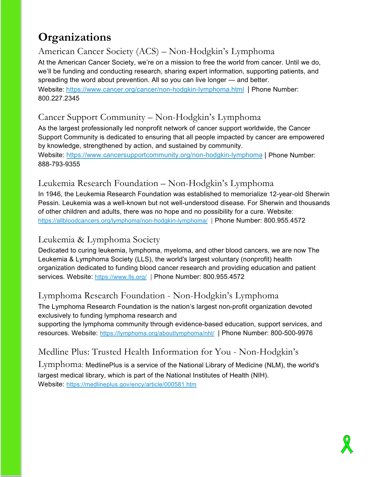# **Organizations**

## American Cancer Society (ACS) – Non-Hodgkin's Lymphoma

At the American Cancer Society, we're on a mission to free the world from cancer. Until we do, we'll be funding and conducting research, sharing expert information, supporting patients, and spreading the word about prevention. All so you can live longer — and better. Website: <https://www.cancer.org/cancer/non-hodgkin-lymphoma.html> | Phone Number: 800.227.2345

#### Cancer Support Community – Non-Hodgkin's Lymphoma

As the largest professionally led nonprofit network of cancer support worldwide, the Cancer Support Community is dedicated to ensuring that all people impacted by cancer are empowered by knowledge, strengthened by action, and sustained by community.

Website:<https://www.cancersupportcommunity.org/non-hodgkin-lymphoma> | Phone Number: 888-793-9355

## Leukemia Research Foundation – Non-Hodgkin's Lymphoma

In 1946, the Leukemia Research Foundation was established to memorialize 12-year-old Sherwin Pessin. Leukemia was a well-known but not well-understood disease. For Sherwin and thousands of other children and adults, there was no hope and no possibility for a cure. Website: <https://allbloodcancers.org/lymphoma/non-hodgkin-lymphoma/>| Phone Number: 800.955.4572

#### Leukemia & Lymphoma Society

Dedicated to curing leukemia, lymphoma, myeloma, and other blood cancers, we are now The Leukemia & Lymphoma Society (LLS), the world's largest voluntary (nonprofit) health organization dedicated to funding blood cancer research and providing education and patient services. Website:<https://www.lls.org/> | Phone Number: 800.955.4572

### Lymphoma Research Foundation - Non-Hodgkin's Lymphoma

The Lymphoma Research Foundation is the nation's largest non-profit organization devoted exclusively to funding lymphoma research and

supporting the lymphoma community through evidence-based education, support services, and resources. Website: <https://lymphoma.org/aboutlymphoma/nhl/> | Phone Number: 800-500-9976

## Medline Plus: Trusted Health Information for You - Non-Hodgkin's

 $Lymphoma$ : MedlinePlus is a service of the National Library of Medicine (NLM), the world's largest medical library, which is part of the National Institutes of Health (NIH). Website: <https://medlineplus.gov/ency/article/000581.htm>